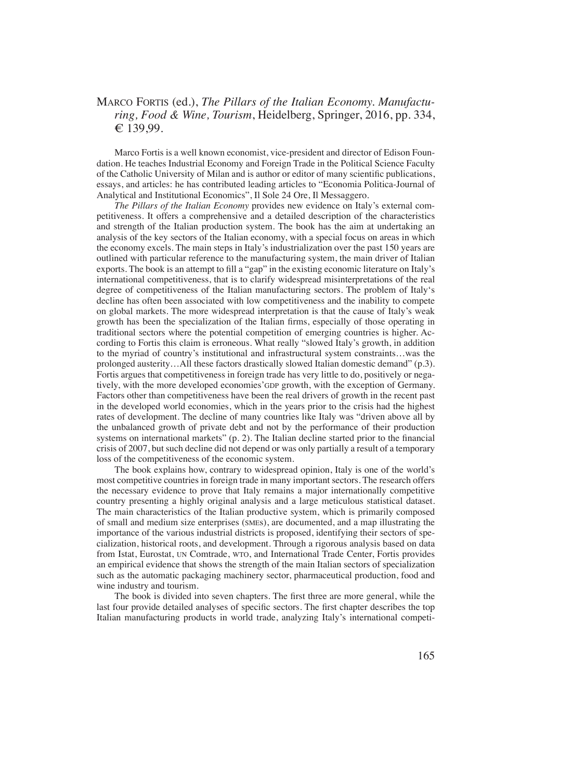## Marco Fortis (ed.), *The Pillars of the Italian Economy. Manufacturing, Food & Wine, Tourism*, Heidelberg, Springer, 2016, pp. 334, € 139,99.

Marco Fortis is a well known economist, vice-president and director of Edison Foundation. He teaches Industrial Economy and Foreign Trade in the Political Science Faculty of the Catholic University of Milan and is author or editor of many scientific publications, essays, and articles: he has contributed leading articles to "Economia Politica-Journal of Analytical and Institutional Economics", Il Sole 24 Ore, Il Messaggero.

*The Pillars of the Italian Economy* provides new evidence on Italy's external competitiveness. It offers a comprehensive and a detailed description of the characteristics and strength of the Italian production system. The book has the aim at undertaking an analysis of the key sectors of the Italian economy, with a special focus on areas in which the economy excels. The main steps in Italy's industrialization over the past 150 years are outlined with particular reference to the manufacturing system, the main driver of Italian exports. The book is an attempt to fill a "gap" in the existing economic literature on Italy's international competitiveness, that is to clarify widespread misinterpretations of the real degree of competitiveness of the Italian manufacturing sectors. The problem of Italy's decline has often been associated with low competitiveness and the inability to compete on global markets. The more widespread interpretation is that the cause of Italy's weak growth has been the specialization of the Italian firms, especially of those operating in traditional sectors where the potential competition of emerging countries is higher. According to Fortis this claim is erroneous. What really "slowed Italy's growth, in addition to the myriad of country's institutional and infrastructural system constraints…was the prolonged austerity…All these factors drastically slowed Italian domestic demand" (p.3). Fortis argues that competitiveness in foreign trade has very little to do, positively or negatively, with the more developed economies' GDP growth, with the exception of Germany. Factors other than competitiveness have been the real drivers of growth in the recent past in the developed world economies, which in the years prior to the crisis had the highest rates of development. The decline of many countries like Italy was "driven above all by the unbalanced growth of private debt and not by the performance of their production systems on international markets" (p. 2). The Italian decline started prior to the financial crisis of 2007, but such decline did not depend or was only partially a result of a temporary loss of the competitiveness of the economic system.

The book explains how, contrary to widespread opinion, Italy is one of the world's most competitive countries in foreign trade in many important sectors. The research offers the necessary evidence to prove that Italy remains a major internationally competitive country presenting a highly original analysis and a large meticulous statistical dataset. The main characteristics of the Italian productive system, which is primarily composed of small and medium size enterprises (smes), are documented, and a map illustrating the importance of the various industrial districts is proposed, identifying their sectors of specialization, historical roots, and development. Through a rigorous analysis based on data from Istat, Eurostat, UN Comtrade, WTO, and International Trade Center, Fortis provides an empirical evidence that shows the strength of the main Italian sectors of specialization such as the automatic packaging machinery sector, pharmaceutical production, food and wine industry and tourism.

The book is divided into seven chapters. The first three are more general, while the last four provide detailed analyses of specific sectors. The first chapter describes the top Italian manufacturing products in world trade, analyzing Italy's international competi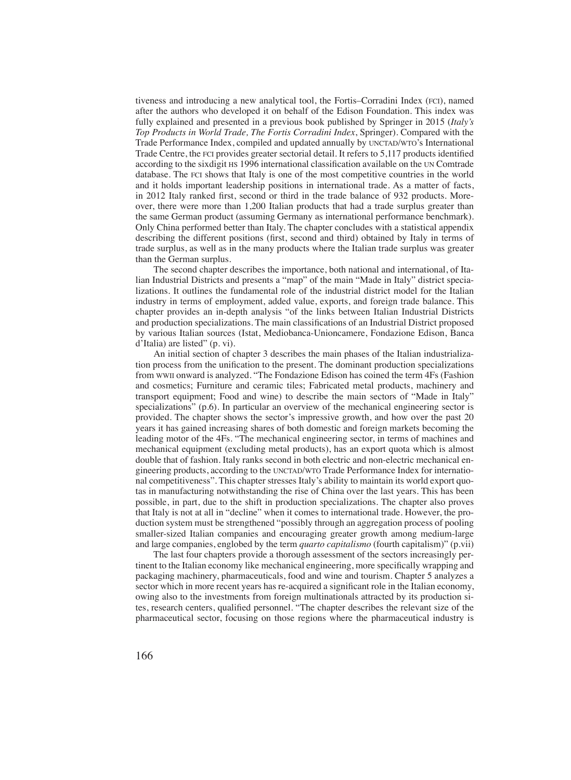tiveness and introducing a new analytical tool, the Fortis–Corradini Index (fci), named after the authors who developed it on behalf of the Edison Foundation. This index was fully explained and presented in a previous book published by Springer in 2015 (*Italy's Top Products in World Trade, The Fortis Corradini Index*, Springer). Compared with the Trade Performance Index, compiled and updated annually by UNCTAD/WTO's International Trade Centre, the fci provides greater sectorial detail. It refers to 5,117 products identified according to the sixdigit hs 1996 international classification available on the un Comtrade database. The fci shows that Italy is one of the most competitive countries in the world and it holds important leadership positions in international trade. As a matter of facts, in 2012 Italy ranked first, second or third in the trade balance of 932 products. Moreover, there were more than 1,200 Italian products that had a trade surplus greater than the same German product (assuming Germany as international performance benchmark). Only China performed better than Italy. The chapter concludes with a statistical appendix describing the different positions (first, second and third) obtained by Italy in terms of trade surplus, as well as in the many products where the Italian trade surplus was greater than the German surplus.

The second chapter describes the importance, both national and international, of Italian Industrial Districts and presents a "map" of the main "Made in Italy" district specializations. It outlines the fundamental role of the industrial district model for the Italian industry in terms of employment, added value, exports, and foreign trade balance. This chapter provides an in-depth analysis "of the links between Italian Industrial Districts and production specializations. The main classifications of an Industrial District proposed by various Italian sources (Istat, Mediobanca-Unioncamere, Fondazione Edison, Banca d'Italia) are listed" (p. vi).

An initial section of chapter 3 describes the main phases of the Italian industrialization process from the unification to the present. The dominant production specializations from wwii onward is analyzed. "The Fondazione Edison has coined the term 4Fs (Fashion and cosmetics; Furniture and ceramic tiles; Fabricated metal products, machinery and transport equipment; Food and wine) to describe the main sectors of "Made in Italy" specializations" (p.6). In particular an overview of the mechanical engineering sector is provided. The chapter shows the sector's impressive growth, and how over the past 20 years it has gained increasing shares of both domestic and foreign markets becoming the leading motor of the 4Fs. "The mechanical engineering sector, in terms of machines and mechanical equipment (excluding metal products), has an export quota which is almost double that of fashion. Italy ranks second in both electric and non-electric mechanical engineering products, according to the UNCTAD/WTO Trade Performance Index for international competitiveness". This chapter stresses Italy's ability to maintain its world export quotas in manufacturing notwithstanding the rise of China over the last years. This has been possible, in part, due to the shift in production specializations. The chapter also proves that Italy is not at all in "decline" when it comes to international trade. However, the production system must be strengthened "possibly through an aggregation process of pooling smaller-sized Italian companies and encouraging greater growth among medium-large and large companies, englobed by the term *quarto capitalismo* (fourth capitalism)" (p.vii)

The last four chapters provide a thorough assessment of the sectors increasingly pertinent to the Italian economy like mechanical engineering, more specifically wrapping and packaging machinery, pharmaceuticals, food and wine and tourism. Chapter 5 analyzes a sector which in more recent years has re-acquired a significant role in the Italian economy, owing also to the investments from foreign multinationals attracted by its production sites, research centers, qualified personnel. "The chapter describes the relevant size of the pharmaceutical sector, focusing on those regions where the pharmaceutical industry is